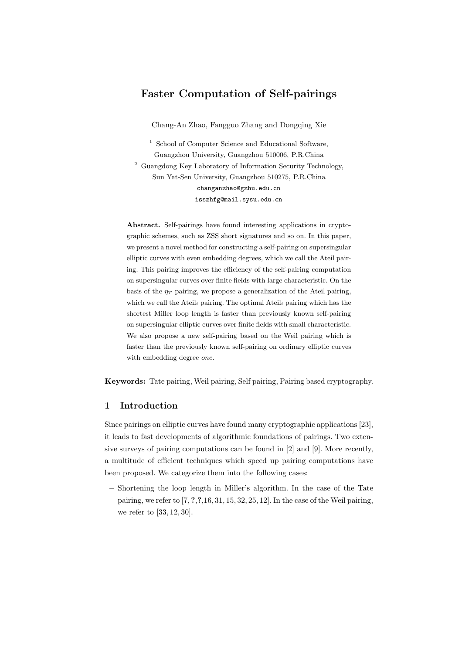# Faster Computation of Self-pairings

Chang-An Zhao, Fangguo Zhang and Dongqing Xie

<sup>1</sup> School of Computer Science and Educational Software, Guangzhou University, Guangzhou 510006, P.R.China  $^{\rm 2}$  Guangdong Key Laboratory of Information Security Technology, Sun Yat-Sen University, Guangzhou 510275, P.R.China changanzhao@gzhu.edu.cn isszhfg@mail.sysu.edu.cn

Abstract. Self-pairings have found interesting applications in cryptographic schemes, such as ZSS short signatures and so on. In this paper, we present a novel method for constructing a self-pairing on supersingular elliptic curves with even embedding degrees, which we call the Ateil pairing. This pairing improves the efficiency of the self-pairing computation on supersingular curves over finite fields with large characteristic. On the basis of the  $\eta_T$  pairing, we propose a generalization of the Ateil pairing, which we call the Ateil<sub>i</sub> pairing. The optimal Ateil<sub>i</sub> pairing which has the shortest Miller loop length is faster than previously known self-pairing on supersingular elliptic curves over finite fields with small characteristic. We also propose a new self-pairing based on the Weil pairing which is faster than the previously known self-pairing on ordinary elliptic curves with embedding degree one.

Keywords: Tate pairing, Weil pairing, Self pairing, Pairing based cryptography.

### 1 Introduction

Since pairings on elliptic curves have found many cryptographic applications [23], it leads to fast developments of algorithmic foundations of pairings. Two extensive surveys of pairing computations can be found in [2] and [9]. More recently, a multitude of efficient techniques which speed up pairing computations have been proposed. We categorize them into the following cases:

– Shortening the loop length in Miller's algorithm. In the case of the Tate pairing, we refer to  $[7, ?, ?, 16, 31, 15, 32, 25, 12]$ . In the case of the Weil pairing, we refer to [33, 12, 30].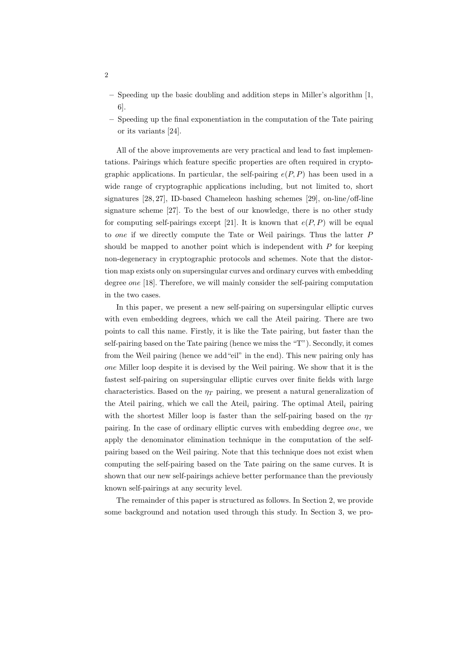- Speeding up the basic doubling and addition steps in Miller's algorithm [1, 6].
- Speeding up the final exponentiation in the computation of the Tate pairing or its variants [24].

All of the above improvements are very practical and lead to fast implementations. Pairings which feature specific properties are often required in cryptographic applications. In particular, the self-pairing  $e(P, P)$  has been used in a wide range of cryptographic applications including, but not limited to, short signatures [28, 27], ID-based Chameleon hashing schemes [29], on-line/off-line signature scheme [27]. To the best of our knowledge, there is no other study for computing self-pairings except [21]. It is known that  $e(P, P)$  will be equal to one if we directly compute the Tate or Weil pairings. Thus the latter P should be mapped to another point which is independent with  $P$  for keeping non-degeneracy in cryptographic protocols and schemes. Note that the distortion map exists only on supersingular curves and ordinary curves with embedding degree one [18]. Therefore, we will mainly consider the self-pairing computation in the two cases.

In this paper, we present a new self-pairing on supersingular elliptic curves with even embedding degrees, which we call the Ateil pairing. There are two points to call this name. Firstly, it is like the Tate pairing, but faster than the self-pairing based on the Tate pairing (hence we miss the "T"). Secondly, it comes from the Weil pairing (hence we add"eil" in the end). This new pairing only has one Miller loop despite it is devised by the Weil pairing. We show that it is the fastest self-pairing on supersingular elliptic curves over finite fields with large characteristics. Based on the  $\eta_T$  pairing, we present a natural generalization of the Ateil pairing, which we call the Ateil<sub>i</sub> pairing. The optimal Ateil<sub>i</sub> pairing with the shortest Miller loop is faster than the self-pairing based on the  $\eta_T$ pairing. In the case of ordinary elliptic curves with embedding degree one, we apply the denominator elimination technique in the computation of the selfpairing based on the Weil pairing. Note that this technique does not exist when computing the self-pairing based on the Tate pairing on the same curves. It is shown that our new self-pairings achieve better performance than the previously known self-pairings at any security level.

The remainder of this paper is structured as follows. In Section 2, we provide some background and notation used through this study. In Section 3, we pro-

2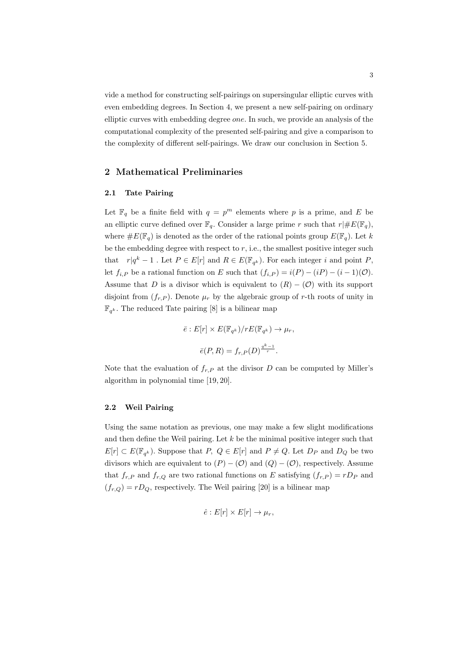vide a method for constructing self-pairings on supersingular elliptic curves with even embedding degrees. In Section 4, we present a new self-pairing on ordinary elliptic curves with embedding degree one. In such, we provide an analysis of the computational complexity of the presented self-pairing and give a comparison to the complexity of different self-pairings. We draw our conclusion in Section 5.

## 2 Mathematical Preliminaries

## 2.1 Tate Pairing

Let  $\mathbb{F}_q$  be a finite field with  $q = p^m$  elements where p is a prime, and E be an elliptic curve defined over  $\mathbb{F}_q$ . Consider a large prime r such that  $r| \# E(\mathbb{F}_q)$ , where  $\#E(\mathbb{F}_q)$  is denoted as the order of the rational points group  $E(\mathbb{F}_q)$ . Let k be the embedding degree with respect to  $r$ , i.e., the smallest positive integer such that  $r|q^k - 1$ . Let  $P \in E[r]$  and  $R \in E(\mathbb{F}_{q^k})$ . For each integer i and point P, let  $f_{i,P}$  be a rational function on E such that  $(f_{i,P}) = i(P) - (iP) - (i-1)(O)$ . Assume that D is a divisor which is equivalent to  $(R) - (O)$  with its support disjoint from  $(f_{r,P})$ . Denote  $\mu_r$  by the algebraic group of r-th roots of unity in  $\mathbb{F}_{q^k}$ . The reduced Tate pairing [8] is a bilinear map

$$
\overline{e}: E[r] \times E(\mathbb{F}_{q^k})/rE(\mathbb{F}_{q^k}) \to \mu_r,
$$
  

$$
\overline{e}(P, R) = f_{r,P}(D)^{\frac{q^k - 1}{r}}.
$$

Note that the evaluation of  $f_{r,P}$  at the divisor D can be computed by Miller's algorithm in polynomial time [19, 20].

### 2.2 Weil Pairing

Using the same notation as previous, one may make a few slight modifications and then define the Weil pairing. Let  $k$  be the minimal positive integer such that  $E[r] \subset E(\mathbb{F}_{q^k})$ . Suppose that  $P, Q \in E[r]$  and  $P \neq Q$ . Let  $D_P$  and  $D_Q$  be two divisors which are equivalent to  $(P) - (O)$  and  $(Q) - (O)$ , respectively. Assume that  $f_{r,P}$  and  $f_{r,Q}$  are two rational functions on E satisfying  $(f_{r,P}) = rD_P$  and  $(f_{r,Q}) = rD_Q$ , respectively. The Weil pairing [20] is a bilinear map

$$
\hat{e}: E[r] \times E[r] \to \mu_r,
$$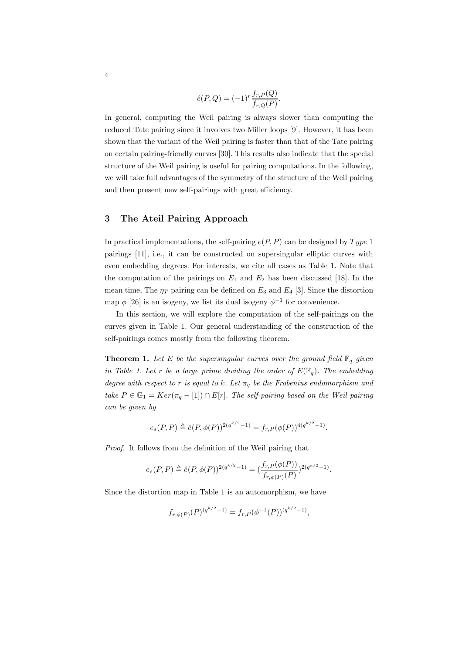$$
\hat{e}(P,Q) = (-1)^r \frac{f_{r,P}(Q)}{f_{r,Q}(P)}
$$

.

In general, computing the Weil pairing is always slower than computing the reduced Tate pairing since it involves two Miller loops [9]. However, it has been shown that the variant of the Weil pairing is faster than that of the Tate pairing on certain pairing-friendly curves [30]. This results also indicate that the special structure of the Weil pairing is useful for pairing computations. In the following, we will take full advantages of the symmetry of the structure of the Weil pairing and then present new self-pairings with great efficiency.

# 3 The Ateil Pairing Approach

In practical implementations, the self-pairing  $e(P, P)$  can be designed by  $Type 1$ pairings [11], i.e., it can be constructed on supersingular elliptic curves with even embedding degrees. For interests, we cite all cases as Table 1. Note that the computation of the pairings on  $E_1$  and  $E_2$  has been discussed [18]. In the mean time, The  $\eta_T$  pairing can be defined on  $E_3$  and  $E_4$  [3]. Since the distortion map  $\phi$  [26] is an isogeny, we list its dual isogeny  $\phi^{-1}$  for convenience.

In this section, we will explore the computation of the self-pairings on the curves given in Table 1. Our general understanding of the construction of the self-pairings comes mostly from the following theorem.

**Theorem 1.** Let E be the supersingular curves over the ground field  $\mathbb{F}_q$  given in Table 1. Let r be a large prime dividing the order of  $E(\mathbb{F}_q)$ . The embedding degree with respect to r is equal to k. Let  $\pi_q$  be the Frobenius endomorphism and take  $P \in \mathbb{G}_1 = Ker(\pi_q - [1]) \cap E[r]$ . The self-pairing based on the Weil pairing can be given by

$$
e_s(P,P) \triangleq \hat{e}(P,\phi(P))^{2(q^{k/2}-1)} = f_{r,P}(\phi(P))^{4(q^{k/2}-1)}.
$$

Proof. It follows from the definition of the Weil pairing that

$$
e_s(P,P) \triangleq \hat{e}(P,\phi(P))^{2(q^{k/2}-1)} = (\frac{f_{r,P}(\phi(P))}{f_{r,\phi(P)}(P)})^{2(q^{k/2}-1)}.
$$

Since the distortion map in Table 1 is an automorphism, we have

$$
f_{r,\phi(P)}(P)^{(q^{k/2}-1)} = f_{r,P}(\phi^{-1}(P))^{(q^{k/2}-1)},
$$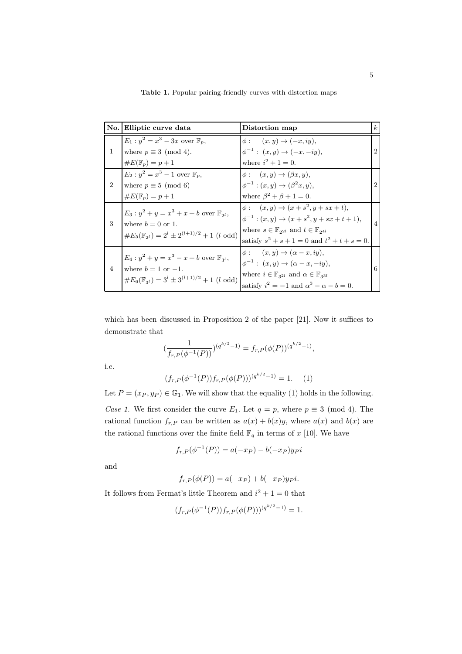|                             | No. Elliptic curve data                                                                                                                             | Distortion map                                                                                                                                                                                                                       | $\mathbf{k}$                |
|-----------------------------|-----------------------------------------------------------------------------------------------------------------------------------------------------|--------------------------------------------------------------------------------------------------------------------------------------------------------------------------------------------------------------------------------------|-----------------------------|
| $\mathbf{1}$                | $E_1: y^2 = x^3 - 3x$ over $\mathbb{F}_p$ ,<br>where $p \equiv 3 \pmod{4}$ .<br>$\#E(\mathbb{F}_p)=p+1$                                             | $\phi: (x,y) \rightarrow (-x, iy),$<br>$\phi^{-1}: (x, y) \to (-x, -iy),$<br>where $i^2 + 1 = 0$ .                                                                                                                                   | $\mathcal{D}_{\mathcal{L}}$ |
| $\mathcal{D}_{\mathcal{L}}$ | $E_2: y^2 = x^3 - 1$ over $\mathbb{F}_p$ ,<br>where $p \equiv 5 \pmod{6}$<br>$\#E(\mathbb{F}_p)=p+1$                                                | $\phi: (x, y) \rightarrow (\beta x, y),$<br>$\phi^{-1} : (x, y) \to (\beta^2 x, y),$<br>where $\beta^2 + \beta + 1 = 0$ .                                                                                                            | 2                           |
| 3                           | $E_3: y^2 + y = x^3 + x + b$ over $\mathbb{F}_{2^l}$ ,<br>where $b=0$ or 1.<br>$\#E_5(\mathbb{F}_{2^l}) = 2^l \pm 2^{(l+1)/2} + 1$ (l odd)          | $\phi: (x, y) \to (x + s^2, y + sx + t),$<br>$\phi^{-1}$ : $(x, y) \rightarrow (x + s^2, y + sx + t + 1),$<br>where $s \in \mathbb{F}_{2^{2l}}$ and $t \in \mathbb{F}_{2^{4l}}$<br>satisfy $s^2 + s + 1 = 0$ and $t^2 + t + s = 0$ . | $\overline{4}$              |
| $\overline{4}$              | $E_4: y^2 + y = x^3 - x + b$ over $\mathbb{F}_{3^l}$ ,<br>where $b = 1$ or $-1$ .<br>$\#E_6(\mathbb{F}_{3^l})=3^l\pm 3^{(l+1)/2}+1$ ( <i>l</i> odd) | $\phi: (x, y) \rightarrow (\alpha - x, iy),$<br>$\phi^{-1}: (x, y) \to (\alpha - x, -iy),$<br>where $i \in \mathbb{F}_{3^{2l}}$ and $\alpha \in \mathbb{F}_{3^{3l}}$<br>satisfy $i^2 = -1$ and $\alpha^3 - \alpha - b = 0$ .         | 6                           |

Table 1. Popular pairing-friendly curves with distortion maps

which has been discussed in Proposition 2 of the paper [21]. Now it suffices to demonstrate that

$$
\left(\frac{1}{f_{r,P}(\phi^{-1}(P))}\right)^{(q^{k/2}-1)} = f_{r,P}(\phi(P))^{(q^{k/2}-1)},
$$

i.e.

$$
(f_{r,P}(\phi^{-1}(P))f_{r,P}(\phi(P)))^{(q^{k/2}-1)} = 1.
$$
 (1)

Let  $P = (x_P, y_P) \in \mathbb{G}_1$ . We will show that the equality (1) holds in the following. Case 1. We first consider the curve  $E_1$ . Let  $q = p$ , where  $p \equiv 3 \pmod{4}$ . The rational function  $f_{r,P}$  can be written as  $a(x) + b(x)y$ , where  $a(x)$  and  $b(x)$  are the rational functions over the finite field  $\mathbb{F}_q$  in terms of x [10]. We have

$$
f_{r,P}(\phi^{-1}(P)) = a(-x_P) - b(-x_P)y_Pi
$$

and

$$
f_{r,P}(\phi(P)) = a(-x_P) + b(-x_P)y_Pi.
$$

It follows from Fermat's little Theorem and  $i^2 + 1 = 0$  that

$$
(f_{r,P}(\phi^{-1}(P))f_{r,P}(\phi(P)))^{(q^{k/2}-1)} = 1.
$$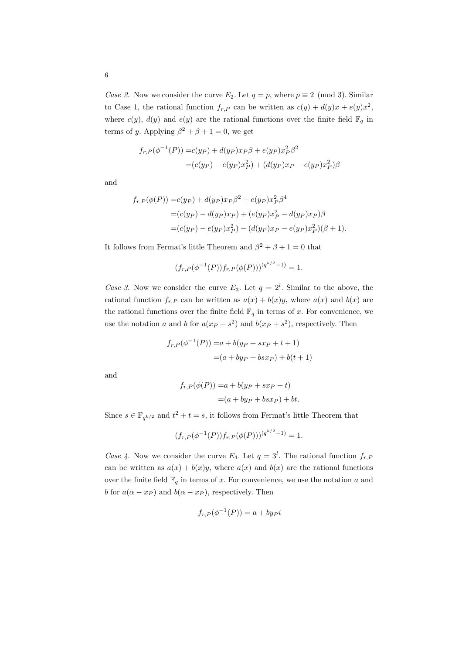Case 2. Now we consider the curve  $E_2$ . Let  $q = p$ , where  $p \equiv 2 \pmod{3}$ . Similar to Case 1, the rational function  $f_{r,P}$  can be written as  $c(y) + d(y)x + e(y)x^2$ , where  $c(y)$ ,  $d(y)$  and  $e(y)$  are the rational functions over the finite field  $\mathbb{F}_q$  in terms of y. Applying  $\beta^2 + \beta + 1 = 0$ , we get

$$
f_{r,P}(\phi^{-1}(P)) = c(y_P) + d(y_P)x_P\beta + e(y_P)x_P^2\beta^2
$$
  
=  $(c(y_P) - e(y_P)x_P^2) + (d(y_P)x_P - e(y_P)x_P^2)\beta$ 

and

$$
f_{r,P}(\phi(P)) = c(y_P) + d(y_P)x_P\beta^2 + e(y_P)x_P^2\beta^4
$$
  
=  $(c(y_P) - d(y_P)x_P) + (e(y_P)x_P^2 - d(y_P)x_P)\beta$   
=  $(c(y_P) - e(y_P)x_P^2) - (d(y_P)x_P - e(y_P)x_P^2)(\beta + 1).$ 

It follows from Fermat's little Theorem and  $\beta^2 + \beta + 1 = 0$  that

$$
(f_{r,P}(\phi^{-1}(P))f_{r,P}(\phi(P)))^{(q^{k/2}-1)} = 1.
$$

Case 3. Now we consider the curve  $E_3$ . Let  $q = 2^l$ . Similar to the above, the rational function  $f_{r,P}$  can be written as  $a(x) + b(x)y$ , where  $a(x)$  and  $b(x)$  are the rational functions over the finite field  $\mathbb{F}_q$  in terms of x. For convenience, we use the notation a and b for  $a(x_P + s^2)$  and  $b(x_P + s^2)$ , respectively. Then

$$
f_{r,P}(\phi^{-1}(P)) = a + b(y_P + sx_P + t + 1)
$$
  
= (a + by<sub>P</sub> + bsx<sub>P</sub>) + b(t + 1)

and

$$
f_{r,P}(\phi(P)) = a + b(y_P + sx_P + t)
$$

$$
= (a + by_P + bsx_P) + bt.
$$

Since  $s \in \mathbb{F}_{q^{k/2}}$  and  $t^2 + t = s$ , it follows from Fermat's little Theorem that

$$
(f_{r,P}(\phi^{-1}(P))f_{r,P}(\phi(P)))^{(q^{k/2}-1)} = 1.
$$

Case 4. Now we consider the curve  $E_4$ . Let  $q = 3^l$ . The rational function  $f_{r,F}$ can be written as  $a(x) + b(x)y$ , where  $a(x)$  and  $b(x)$  are the rational functions over the finite field  $\mathbb{F}_q$  in terms of x. For convenience, we use the notation a and b for  $a(\alpha - x_P)$  and  $b(\alpha - x_P)$ , respectively. Then

$$
f_{r,P}(\phi^{-1}(P)) = a + by_{P}i
$$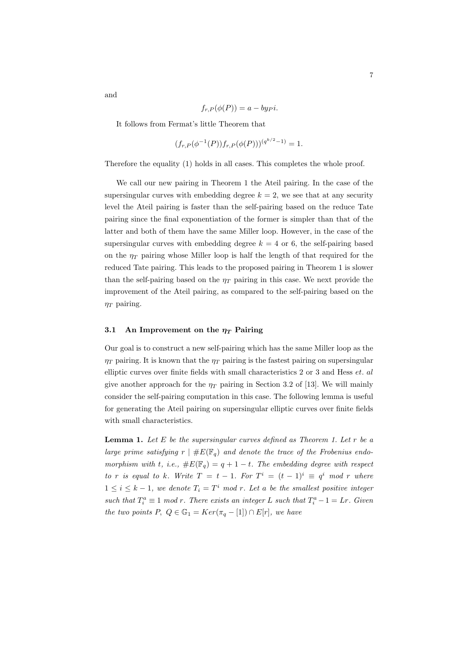$$
7\phantom{.0}
$$

$$
f_{r,P}(\phi(P)) = a - bypi.
$$

It follows from Fermat's little Theorem that

$$
(f_{r,P}(\phi^{-1}(P))f_{r,P}(\phi(P)))^{(q^{k/2}-1)} = 1.
$$

Therefore the equality (1) holds in all cases. This completes the whole proof.

We call our new pairing in Theorem 1 the Ateil pairing. In the case of the supersingular curves with embedding degree  $k = 2$ , we see that at any security level the Ateil pairing is faster than the self-pairing based on the reduce Tate pairing since the final exponentiation of the former is simpler than that of the latter and both of them have the same Miller loop. However, in the case of the supersingular curves with embedding degree  $k = 4$  or 6, the self-pairing based on the  $\eta_T$  pairing whose Miller loop is half the length of that required for the reduced Tate pairing. This leads to the proposed pairing in Theorem 1 is slower than the self-pairing based on the  $\eta_T$  pairing in this case. We next provide the improvement of the Ateil pairing, as compared to the self-pairing based on the  $\eta_T$  pairing.

#### 3.1 An Improvement on the  $\eta_T$  Pairing

Our goal is to construct a new self-pairing which has the same Miller loop as the  $\eta_T$  pairing. It is known that the  $\eta_T$  pairing is the fastest pairing on supersingular elliptic curves over finite fields with small characteristics 2 or 3 and Hess et. al give another approach for the  $\eta_T$  pairing in Section 3.2 of [13]. We will mainly consider the self-pairing computation in this case. The following lemma is useful for generating the Ateil pairing on supersingular elliptic curves over finite fields with small characteristics.

**Lemma 1.** Let  $E$  be the supersingular curves defined as Theorem 1. Let  $r$  be a large prime satisfying  $r \mid \#E(\mathbb{F}_q)$  and denote the trace of the Frobenius endomorphism with t, i.e.,  $\#E(\mathbb{F}_q) = q + 1 - t$ . The embedding degree with respect to r is equal to k. Write  $T = t - 1$ . For  $T^i = (t - 1)^i \equiv q^i \mod r$  where  $1 \leq i \leq k-1$ , we denote  $T_i = T^i \mod r$ . Let a be the smallest positive integer such that  $T_i^a \equiv 1 \mod r$ . There exists an integer L such that  $T_i^a - 1 = Lr$ . Given the two points P,  $Q \in \mathbb{G}_1 = Ker(\pi_q - [1]) \cap E[r]$ , we have

and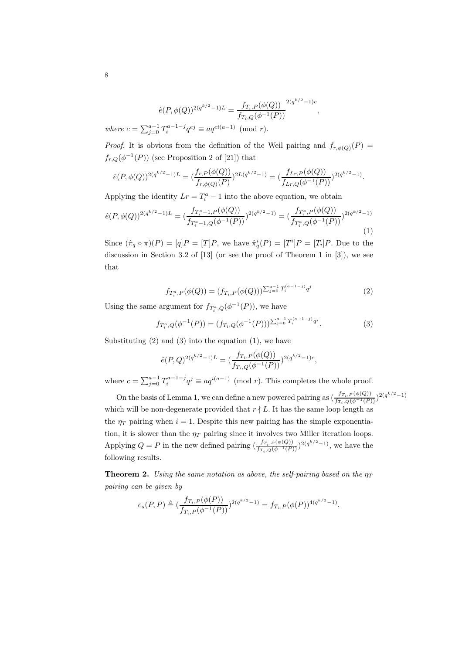$$
\hat{e}(P,\phi(Q))^{2(q^{k/2}-1)L} = \frac{f_{T_i,P}(\phi(Q))}{f_{T_i,Q}(\phi^{-1}(P))}^{2(q^{k/2}-1)c}
$$
  
where  $c = \sum_{j=0}^{a-1} T_i^{a-1-j} q^{ej} \equiv aq^{ei(a-1)} \pmod{r}$ .

*Proof.* It is obvious from the definition of the Weil pairing and  $f_{r,\phi(Q)}(P)$  =  $f_{r,Q}(\phi^{-1}(P))$  (see Proposition 2 of [21]) that

$$
\hat{e}(P,\phi(Q))^{2(q^{k/2}-1)L} = \left(\frac{f_{r,P}(\phi(Q))}{f_{r,\phi(Q)}(P)}\right)^{2L(q^{k/2}-1)} = \left(\frac{f_{Lr,P}(\phi(Q))}{f_{Lr,Q}(\phi^{-1}(P))}\right)^{2(q^{k/2}-1)}.
$$

Applying the identity  $Lr = T_i^a - 1$  into the above equation, we obtain

$$
\hat{e}(P,\phi(Q))^{2(q^{k/2}-1)L} = \left(\frac{f_{T_i^a-1,P}(\phi(Q))}{f_{T_i^a-1,Q}(\phi^{-1}(P))}\right)^{2(q^{k/2}-1)} = \left(\frac{f_{T_i^a,P}(\phi(Q))}{f_{T_i^a,Q}(\phi^{-1}(P))}\right)^{2(q^{k/2}-1)}
$$
\n(1)

Since  $(\hat{\pi}_q \circ \pi)(P) = [q]P = [T]P$ , we have  $\hat{\pi}_q^i(P) = [T^i]P = [T_i]P$ . Due to the discussion in Section 3.2 of [13] (or see the proof of Theorem 1 in [3]), we see that

$$
f_{T_i^a,P}(\phi(Q)) = (f_{T_i,P}(\phi(Q)))^{\sum_{j=0}^{a-1} T_i^{(a-1-j)} q^j}
$$
\n(2)

,

Using the same argument for  $f_{T_i^a,Q}(\phi^{-1}(P))$ , we have

$$
f_{T_i^a,Q}(\phi^{-1}(P)) = (f_{T_i,Q}(\phi^{-1}(P)))^{\sum_{j=0}^{a-1} T_i^{(a-1-j)} q^j}.
$$
 (3)

Substituting  $(2)$  and  $(3)$  into the equation  $(1)$ , we have

$$
\hat{e}(P,Q)^{2(q^{k/2}-1)L} = \left(\frac{f_{T_i,P}(\phi(Q))}{f_{T_i,Q}(\phi^{-1}(P))}\right)^{2(q^{k/2}-1)c},
$$

where  $c = \sum_{j=0}^{a-1} T_i^{a-1-j} q^j \equiv aq^{i(a-1)} \pmod{r}$ . This completes the whole proof.

On the basis of Lemma 1, we can define a new powered pairing as  $\left(\frac{f_{T_i,P}(\phi(Q))}{f_{T_i,Q}(\phi^{-1}(P))}\right)$  $\frac{f_{T_i,P}(\phi(Q))}{f_{T_i,Q}(\phi^{-1}(P))}$  $)^{2(q^{k/2}-1)}$ which will be non-degenerate provided that  $r \nmid L$ . It has the same loop length as the  $\eta_T$  pairing when  $i = 1$ . Despite this new pairing has the simple exponentiation, it is slower than the  $\eta_T$  pairing since it involves two Miller iteration loops. Applying  $Q = P$  in the new defined pairing  $\left(\frac{fr_i P(q)}{r_i \Omega}\right)^{q-1}(P)$  $\frac{f_{T_i,P}(\phi(Q))}{f_{T_i,Q}(\phi^{-1}(P))}$  )<sup>2(q<sup>k/2</sup>-1)</sup>, we have the following results.

**Theorem 2.** Using the same notation as above, the self-pairing based on the  $\eta_T$ pairing can be given by

$$
e_s(P,P) \triangleq (\frac{f_{T_i,P}(\phi(P))}{f_{T_i,P}(\phi^{-1}(P))})^{2(q^{k/2}-1)} = f_{T_i,P}(\phi(P))^{4(q^{k/2}-1)}.
$$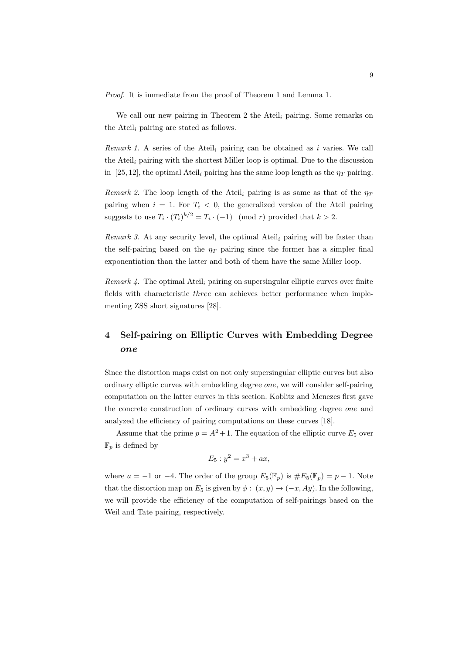Proof. It is immediate from the proof of Theorem 1 and Lemma 1.

We call our new pairing in Theorem 2 the Ateil<sub>i</sub> pairing. Some remarks on the Ateil<sub>i</sub> pairing are stated as follows.

Remark 1. A series of the Ateil<sub>i</sub> pairing can be obtained as i varies. We call the Ateil<sub>i</sub> pairing with the shortest Miller loop is optimal. Due to the discussion in [25, 12], the optimal Ateil<sub>i</sub> pairing has the same loop length as the  $\eta_T$  pairing.

Remark 2. The loop length of the Ateil<sub>i</sub> pairing is as same as that of the  $\eta_T$ pairing when  $i = 1$ . For  $T_i < 0$ , the generalized version of the Ateil pairing suggests to use  $T_i \cdot (T_i)^{k/2} = T_i \cdot (-1) \pmod{r}$  provided that  $k > 2$ .

Remark 3. At any security level, the optimal Ateil<sub>i</sub> pairing will be faster than the self-pairing based on the  $\eta_T$  pairing since the former has a simpler final exponentiation than the latter and both of them have the same Miller loop.

Remark 4. The optimal Ateil<sub>i</sub> pairing on supersingular elliptic curves over finite fields with characteristic three can achieves better performance when implementing ZSS short signatures [28].

# 4 Self-pairing on Elliptic Curves with Embedding Degree one

Since the distortion maps exist on not only supersingular elliptic curves but also ordinary elliptic curves with embedding degree one, we will consider self-pairing computation on the latter curves in this section. Koblitz and Menezes first gave the concrete construction of ordinary curves with embedding degree one and analyzed the efficiency of pairing computations on these curves [18].

Assume that the prime  $p = A^2 + 1$ . The equation of the elliptic curve  $E_5$  over  $\mathbb{F}_p$  is defined by

$$
E_5: y^2 = x^3 + ax,
$$

where  $a = -1$  or  $-4$ . The order of the group  $E_5(\mathbb{F}_p)$  is  $\#E_5(\mathbb{F}_p) = p - 1$ . Note that the distortion map on  $E_5$  is given by  $\phi: (x, y) \rightarrow (-x, Ay)$ . In the following, we will provide the efficiency of the computation of self-pairings based on the Weil and Tate pairing, respectively.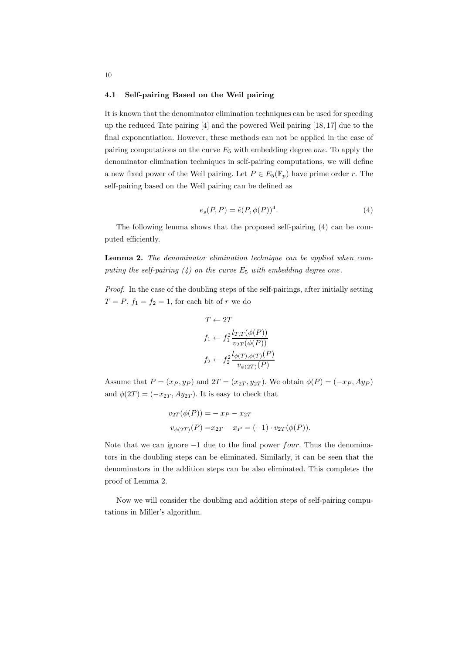#### 4.1 Self-pairing Based on the Weil pairing

It is known that the denominator elimination techniques can be used for speeding up the reduced Tate pairing [4] and the powered Weil pairing [18, 17] due to the final exponentiation. However, these methods can not be applied in the case of pairing computations on the curve  $E_5$  with embedding degree one. To apply the denominator elimination techniques in self-pairing computations, we will define a new fixed power of the Weil pairing. Let  $P \in E_5(\mathbb{F}_p)$  have prime order r. The self-pairing based on the Weil pairing can be defined as

$$
e_s(P, P) = \hat{e}(P, \phi(P))^4.
$$
\n<sup>(4)</sup>

The following lemma shows that the proposed self-pairing (4) can be computed efficiently.

Lemma 2. The denominator elimination technique can be applied when computing the self-pairing  $(4)$  on the curve  $E_5$  with embedding degree one.

Proof. In the case of the doubling steps of the self-pairings, after initially setting  $T = P$ ,  $f_1 = f_2 = 1$ , for each bit of r we do

$$
T \leftarrow 2T
$$
  
\n
$$
f_1 \leftarrow f_1^2 \frac{l_{T,T}(\phi(P))}{v_{2T}(\phi(P))}
$$
  
\n
$$
f_2 \leftarrow f_2^2 \frac{l_{\phi(T),\phi(T)}(P)}{v_{\phi(2T)}(P)}
$$

Assume that  $P = (x_P, y_P)$  and  $2T = (x_{2T}, y_{2T})$ . We obtain  $\phi(P) = (-x_P, Ay_P)$ and  $\phi(2T) = (-x_{2T}, Ay_{2T})$ . It is easy to check that

$$
v_{2T}(\phi(P)) = -x_P - x_{2T}
$$
  

$$
v_{\phi(2T)}(P) = x_{2T} - x_P = (-1) \cdot v_{2T}(\phi(P)).
$$

Note that we can ignore  $-1$  due to the final power *four*. Thus the denominators in the doubling steps can be eliminated. Similarly, it can be seen that the denominators in the addition steps can be also eliminated. This completes the proof of Lemma 2.

Now we will consider the doubling and addition steps of self-pairing computations in Miller's algorithm.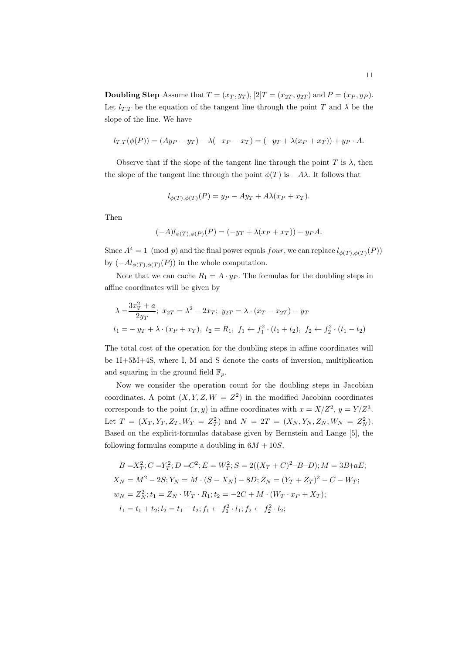**Doubling Step** Assume that  $T = (x_T, y_T)$ ,  $[2]T = (x_{2T}, y_{2T})$  and  $P = (x_P, y_P)$ . Let  $l_{T,T}$  be the equation of the tangent line through the point T and  $\lambda$  be the slope of the line. We have

$$
l_{T,T}(\phi(P)) = (Ayp - y_T) - \lambda(-xp - x_T) = (-y_T + \lambda(x_P + x_T)) + y_P \cdot A.
$$

Observe that if the slope of the tangent line through the point T is  $\lambda$ , then the slope of the tangent line through the point  $\phi(T)$  is  $-A\lambda$ . It follows that

$$
l_{\phi(T),\phi(T)}(P) = y_P - Ay_T + A\lambda(x_P + x_T).
$$

Then

$$
(-A)l_{\phi(T),\phi(P)}(P) = (-y_T + \lambda(x_P + x_T)) - y_P A.
$$

Since  $A^4 = 1 \pmod{p}$  and the final power equals  $four$ , we can replace  $l_{\phi(T),\phi(T)}(P)$ by  $(-Al_{\phi(T),\phi(T)}(P))$  in the whole computation.

Note that we can cache  $R_1 = A \cdot y_P$ . The formulas for the doubling steps in affine coordinates will be given by

$$
\lambda = \frac{3x_1^2 + a}{2y_T}; \ x_{2T} = \lambda^2 - 2x_T; \ y_{2T} = \lambda \cdot (x_T - x_{2T}) - y_T
$$
  

$$
t_1 = -y_T + \lambda \cdot (x_P + x_T), \ t_2 = R_1, \ f_1 \leftarrow f_1^2 \cdot (t_1 + t_2), \ f_2 \leftarrow f_2^2 \cdot (t_1 - t_2)
$$

The total cost of the operation for the doubling steps in affine coordinates will be 1I+5M+4S, where I, M and S denote the costs of inversion, multiplication and squaring in the ground field  $\mathbb{F}_p$ .

Now we consider the operation count for the doubling steps in Jacobian coordinates. A point  $(X, Y, Z, W = Z^2)$  in the modified Jacobian coordinates corresponds to the point  $(x, y)$  in affine coordinates with  $x = X/Z^2$ ,  $y = Y/Z^3$ . Let  $T = (X_T, Y_T, Z_T, W_T = Z_T^2)$  and  $N = 2T = (X_N, Y_N, Z_N, W_N = Z_N^2)$ . Based on the explicit-formulas database given by Bernstein and Lange [5], the following formulas compute a doubling in  $6M + 10S$ .

$$
B = X_T^2; C = Y_T^2; D = C^2; E = W_T^2; S = 2((X_T + C)^2 - B - D); M = 3B + aE;
$$
  
\n
$$
X_N = M^2 - 2S; Y_N = M \cdot (S - X_N) - 8D; Z_N = (Y_T + Z_T)^2 - C - W_T;
$$
  
\n
$$
w_N = Z_N^2; t_1 = Z_N \cdot W_T \cdot R_1; t_2 = -2C + M \cdot (W_T \cdot x_P + X_T);
$$
  
\n
$$
l_1 = t_1 + t_2; l_2 = t_1 - t_2; f_1 \leftarrow f_1^2 \cdot l_1; f_2 \leftarrow f_2^2 \cdot l_2;
$$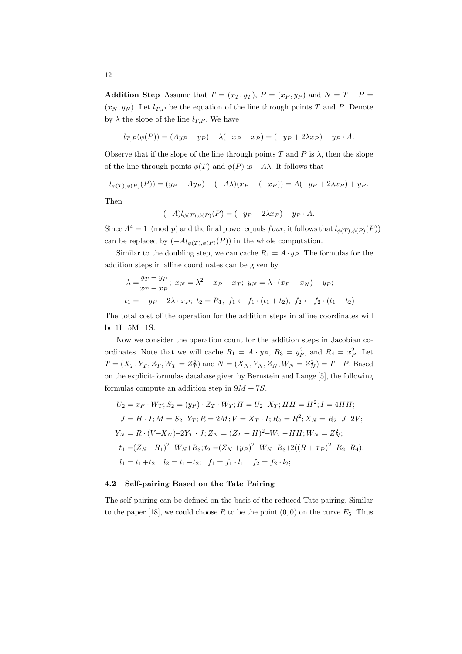Addition Step Assume that  $T = (x_T, y_T)$ ,  $P = (x_P, y_P)$  and  $N = T + P =$  $(x_N, y_N)$ . Let  $l_{T,P}$  be the equation of the line through points T and P. Denote by  $\lambda$  the slope of the line  $l_{T,P}$ . We have

$$
l_{T,P}(\phi(P)) = (A y_P - y_P) - \lambda (-x_P - x_P) = (-y_P + 2\lambda x_P) + y_P \cdot A.
$$

Observe that if the slope of the line through points T and P is  $\lambda$ , then the slope of the line through points  $\phi(T)$  and  $\phi(P)$  is  $-A\lambda$ . It follows that

$$
l_{\phi(T),\phi(P)}(P)) = (y_P - Ay_P) - (-A\lambda)(x_P - (-x_P)) = A(-y_P + 2\lambda x_P) + y_P.
$$

Then

$$
(-A)l_{\phi(T),\phi(P)}(P) = (-y_P + 2\lambda x_P) - y_P \cdot A.
$$

Since  $A^4 = 1 \pmod{p}$  and the final power equals  $four$ , it follows that  $l_{\phi(T),\phi(P)}(P)$ can be replaced by  $(-Al_{\phi(T),\phi(P)}(P))$  in the whole computation.

Similar to the doubling step, we can cache  $R_1 = A \cdot y_P$ . The formulas for the addition steps in affine coordinates can be given by

$$
\lambda = \frac{y_T - y_P}{x_T - x_P}; \ x_N = \lambda^2 - x_P - x_T; \ y_N = \lambda \cdot (x_P - x_N) - y_P;
$$
  

$$
t_1 = -y_P + 2\lambda \cdot x_P; \ t_2 = R_1, \ f_1 \leftarrow f_1 \cdot (t_1 + t_2), \ f_2 \leftarrow f_2 \cdot (t_1 - t_2)
$$

The total cost of the operation for the addition steps in affine coordinates will be 1I+5M+1S.

Now we consider the operation count for the addition steps in Jacobian coordinates. Note that we will cache  $R_1 = A \cdot y_P$ ,  $R_3 = y_P^2$ , and  $R_4 = x_P^2$ . Let  $T = (X_T, Y_T, Z_T, W_T = Z_T^2)$  and  $N = (X_N, Y_N, Z_N, W_N = Z_N^2) = T + P$ . Based on the explicit-formulas database given by Bernstein and Lange [5], the following formulas compute an addition step in  $9M + 7S$ .

$$
U_2 = x_P \cdot W_T; S_2 = (y_P) \cdot Z_T \cdot W_T; H = U_2 - X_T; HH = H^2; I = 4HH;
$$
  
\n
$$
J = H \cdot I; M = S_2 - Y_T; R = 2M; V = X_T \cdot I; R_2 = R^2; X_N = R_2 - J - 2V;
$$
  
\n
$$
Y_N = R \cdot (V - X_N) - 2Y_T \cdot J; Z_N = (Z_T + H)^2 - W_T - HH; W_N = Z_N^2;
$$
  
\n
$$
t_1 = (Z_N + R_1)^2 - W_N + R_3; t_2 = (Z_N + y_P)^2 - W_N - R_3 + 2((R + x_P)^2 - R_2 - R_4);
$$
  
\n
$$
l_1 = t_1 + t_2; \quad l_2 = t_1 - t_2; \quad f_1 = f_1 \cdot l_1; \quad f_2 = f_2 \cdot l_2;
$$

### 4.2 Self-pairing Based on the Tate Pairing

The self-pairing can be defined on the basis of the reduced Tate pairing. Similar to the paper [18], we could choose R to be the point  $(0, 0)$  on the curve  $E_5$ . Thus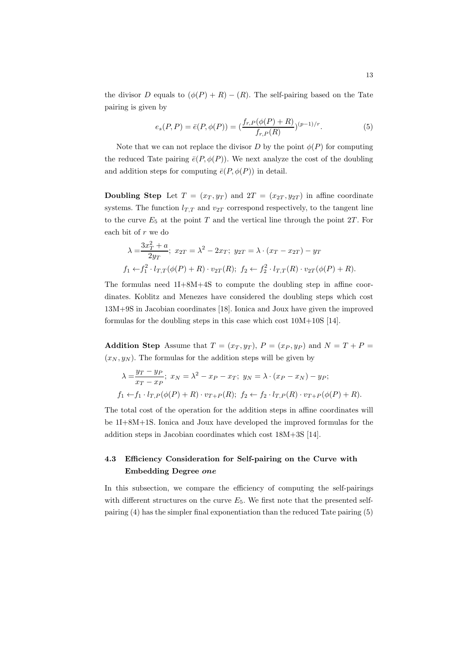the divisor D equals to  $(\phi(P) + R) - (R)$ . The self-pairing based on the Tate pairing is given by

$$
e_s(P, P) = \bar{e}(P, \phi(P)) = \left(\frac{f_{r,P}(\phi(P) + R)}{f_{r,P}(R)}\right)^{(p-1)/r}.
$$
\n(5)

Note that we can not replace the divisor D by the point  $\phi(P)$  for computing the reduced Tate pairing  $\bar{e}(P, \phi(P))$ . We next analyze the cost of the doubling and addition steps for computing  $\bar{e}(P, \phi(P))$  in detail.

**Doubling Step** Let  $T = (x_T, y_T)$  and  $2T = (x_{2T}, y_{2T})$  in affine coordinate systems. The function  $l_{T,T}$  and  $v_{2T}$  correspond respectively, to the tangent line to the curve  $E_5$  at the point T and the vertical line through the point 2T. For each bit of r we do

$$
\lambda = \frac{3x_T^2 + a}{2y_T}; \ x_{2T} = \lambda^2 - 2x_T; \ y_{2T} = \lambda \cdot (x_T - x_{2T}) - y_T
$$
  

$$
f_1 \leftarrow f_1^2 \cdot l_{T,T}(\phi(P) + R) \cdot v_{2T}(R); \ f_2 \leftarrow f_2^2 \cdot l_{T,T}(R) \cdot v_{2T}(\phi(P) + R).
$$

The formulas need 1I+8M+4S to compute the doubling step in affine coordinates. Koblitz and Menezes have considered the doubling steps which cost 13M+9S in Jacobian coordinates [18]. Ionica and Joux have given the improved formulas for the doubling steps in this case which cost 10M+10S [14].

Addition Step Assume that  $T = (x_T, y_T)$ ,  $P = (x_P, y_P)$  and  $N = T + P =$  $(x_N, y_N)$ . The formulas for the addition steps will be given by

$$
\lambda = \frac{y_T - y_P}{x_T - x_P}; \ x_N = \lambda^2 - x_P - x_T; \ y_N = \lambda \cdot (x_P - x_N) - y_P;
$$
  

$$
f_1 \leftarrow f_1 \cdot l_{T,P}(\phi(P) + R) \cdot v_{T+P}(R); \ f_2 \leftarrow f_2 \cdot l_{T,P}(R) \cdot v_{T+P}(\phi(P) + R).
$$

The total cost of the operation for the addition steps in affine coordinates will be 1I+8M+1S. Ionica and Joux have developed the improved formulas for the addition steps in Jacobian coordinates which cost 18M+3S [14].

# 4.3 Efficiency Consideration for Self-pairing on the Curve with Embedding Degree one

In this subsection, we compare the efficiency of computing the self-pairings with different structures on the curve  $E_5$ . We first note that the presented selfpairing (4) has the simpler final exponentiation than the reduced Tate pairing (5)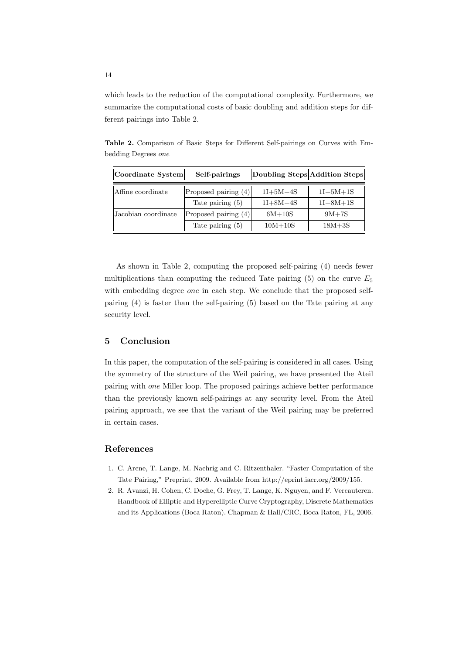which leads to the reduction of the computational complexity. Furthermore, we summarize the computational costs of basic doubling and addition steps for different pairings into Table 2.

|  |                     |  |  | Table 2. Comparison of Basic Steps for Different Self-pairings on Curves with Em- |  |  |
|--|---------------------|--|--|-----------------------------------------------------------------------------------|--|--|
|  | bedding Degrees one |  |  |                                                                                   |  |  |

| Coordinate System   | Self-pairings          | Doubling Steps Addition Steps |                |
|---------------------|------------------------|-------------------------------|----------------|
| Affine coordinate   | Proposed pairing (4)   | $1I + 5M + 4S$                | $1I + 5M + 1S$ |
|                     | Tate pairing $(5)$     | $1I + 8M + 4S$                | $1I + 8M + 1S$ |
| Jacobian coordinate | Proposed pairing $(4)$ | $6M + 10S$                    | $9M+7S$        |
|                     | Tate pairing $(5)$     | $10M+10S$                     | $18M + 3S$     |

As shown in Table 2, computing the proposed self-pairing (4) needs fewer multiplications than computing the reduced Tate pairing  $(5)$  on the curve  $E_5$ with embedding degree *one* in each step. We conclude that the proposed selfpairing (4) is faster than the self-pairing (5) based on the Tate pairing at any security level.

# 5 Conclusion

In this paper, the computation of the self-pairing is considered in all cases. Using the symmetry of the structure of the Weil pairing, we have presented the Ateil pairing with one Miller loop. The proposed pairings achieve better performance than the previously known self-pairings at any security level. From the Ateil pairing approach, we see that the variant of the Weil pairing may be preferred in certain cases.

## References

- 1. C. Arene, T. Lange, M. Naehrig and C. Ritzenthaler. "Faster Computation of the Tate Pairing," Preprint, 2009. Available from http://eprint.iacr.org/2009/155.
- 2. R. Avanzi, H. Cohen, C. Doche, G. Frey, T. Lange, K. Nguyen, and F. Vercauteren. Handbook of Elliptic and Hyperelliptic Curve Cryptography, Discrete Mathematics and its Applications (Boca Raton). Chapman & Hall/CRC, Boca Raton, FL, 2006.

14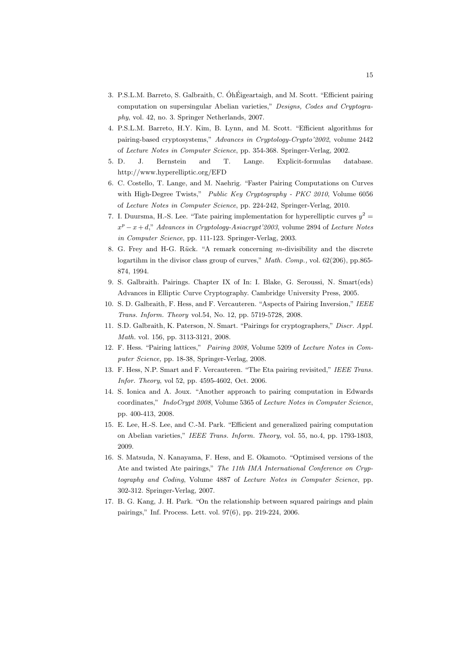- 3. P.S.L.M. Barreto, S. Galbraith, C. ÓhÉigeartaigh, and M. Scott. "Efficient pairing computation on supersingular Abelian varieties," Designs, Codes and Cryptography, vol. 42, no. 3. Springer Netherlands, 2007.
- 4. P.S.L.M. Barreto, H.Y. Kim, B. Lynn, and M. Scott. "Efficient algorithms for pairing-based cryptosystems," Advances in Cryptology-Crypto'2002, volume 2442 of Lecture Notes in Computer Science, pp. 354-368. Springer-Verlag, 2002.
- 5. D. J. Bernstein and T. Lange. Explicit-formulas database. http://www.hyperelliptic.org/EFD
- 6. C. Costello, T. Lange, and M. Naehrig. "Faster Pairing Computations on Curves with High-Degree Twists," Public Key Cryptography - PKC 2010, Volume 6056 of Lecture Notes in Computer Science, pp. 224-242, Springer-Verlag, 2010.
- 7. I. Duursma, H.-S. Lee. "Tate pairing implementation for hyperelliptic curves  $y^2 =$  $x^p - x + d$ ," Advances in Cryptology-Asiacrypt'2003, volume 2894 of Lecture Notes in Computer Science, pp. 111-123. Springer-Verlag, 2003.
- 8. G. Frey and H-G. Rück. "A remark concerning  $m$ -divisibility and the discrete logartihm in the divisor class group of curves," Math. Comp., vol. 62(206), pp.865-874, 1994.
- 9. S. Galbraith. Pairings. Chapter IX of In: I. Blake, G. Seroussi, N. Smart(eds) Advances in Elliptic Curve Cryptography. Cambridge University Press, 2005.
- 10. S. D. Galbraith, F. Hess, and F. Vercauteren. "Aspects of Pairing Inversion," IEEE Trans. Inform. Theory vol.54, No. 12, pp. 5719-5728, 2008.
- 11. S.D. Galbraith, K. Paterson, N. Smart. "Pairings for cryptographers," Discr. Appl. Math. vol. 156, pp. 3113-3121, 2008.
- 12. F. Hess. "Pairing lattices," Pairing 2008, Volume 5209 of Lecture Notes in Computer Science, pp. 18-38, Springer-Verlag, 2008.
- 13. F. Hess, N.P. Smart and F. Vercauteren. "The Eta pairing revisited," IEEE Trans. Infor. Theory, vol 52, pp. 4595-4602, Oct. 2006.
- 14. S. Ionica and A. Joux. "Another approach to pairing computation in Edwards coordinates," IndoCrypt 2008, Volume 5365 of Lecture Notes in Computer Science, pp. 400-413, 2008.
- 15. E. Lee, H.-S. Lee, and C.-M. Park. "Efficient and generalized pairing computation on Abelian varieties," IEEE Trans. Inform. Theory, vol. 55, no.4, pp. 1793-1803, 2009.
- 16. S. Matsuda, N. Kanayama, F. Hess, and E. Okamoto. "Optimised versions of the Ate and twisted Ate pairings," The 11th IMA International Conference on Cryptography and Coding, Volume 4887 of Lecture Notes in Computer Science, pp. 302-312. Springer-Verlag, 2007.
- 17. B. G. Kang, J. H. Park. "On the relationship between squared pairings and plain pairings," Inf. Process. Lett. vol. 97(6), pp. 219-224, 2006.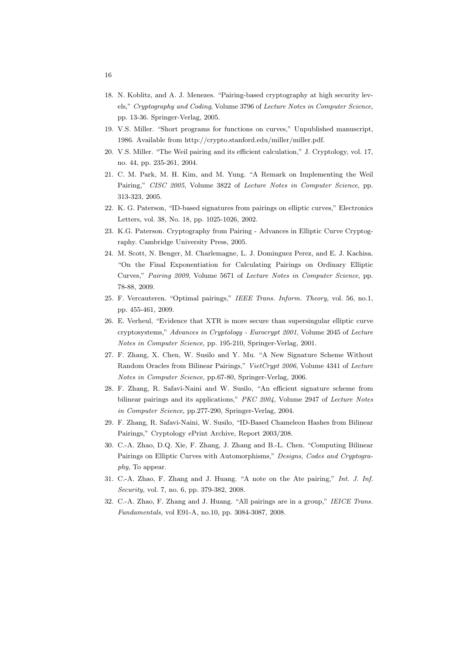- 18. N. Koblitz, and A. J. Menezes. "Pairing-based cryptography at high security levels," Cryptography and Coding, Volume 3796 of Lecture Notes in Computer Science, pp. 13-36. Springer-Verlag, 2005.
- 19. V.S. Miller. "Short programs for functions on curves," Unpublished manuscript, 1986. Available from http://crypto.stanford.edu/miller/miller.pdf.
- 20. V.S. Miller. "The Weil pairing and its efficient calculation," J. Cryptology, vol. 17, no. 44, pp. 235-261, 2004.
- 21. C. M. Park, M. H. Kim, and M. Yung. "A Remark on Implementing the Weil Pairing," CISC 2005, Volume 3822 of Lecture Notes in Computer Science, pp. 313-323, 2005.
- 22. K. G. Paterson, "ID-based signatures from pairings on elliptic curves," Electronics Letters, vol. 38, No. 18, pp. 1025-1026, 2002.
- 23. K.G. Paterson. Cryptography from Pairing Advances in Elliptic Curve Cryptography. Cambridge University Press, 2005.
- 24. M. Scott, N. Benger, M. Charlemagne, L. J. Dominguez Perez, and E. J. Kachisa. "On the Final Exponentiation for Calculating Pairings on Ordinary Elliptic Curves," Pairing 2009, Volume 5671 of Lecture Notes in Computer Science, pp. 78-88, 2009.
- 25. F. Vercauteren. "Optimal pairings," IEEE Trans. Inform. Theory, vol. 56, no.1, pp. 455-461, 2009.
- 26. E. Verheul, "Evidence that XTR is more secure than supersingular elliptic curve cryptosystems," Advances in Cryptology - Eurocrypt 2001, Volume 2045 of Lecture Notes in Computer Science, pp. 195-210, Springer-Verlag, 2001.
- 27. F. Zhang, X. Chen, W. Susilo and Y. Mu. "A New Signature Scheme Without Random Oracles from Bilinear Pairings," VietCrypt 2006, Volume 4341 of Lecture Notes in Computer Science, pp.67-80, Springer-Verlag, 2006.
- 28. F. Zhang, R. Safavi-Naini and W. Susilo, "An efficient signature scheme from bilinear pairings and its applications," PKC 2004, Volume 2947 of Lecture Notes in Computer Science, pp.277-290, Springer-Verlag, 2004.
- 29. F. Zhang, R. Safavi-Naini, W. Susilo, "ID-Based Chameleon Hashes from Bilinear Pairings," Cryptology ePrint Archive, Report 2003/208.
- 30. C.-A. Zhao, D.Q. Xie, F. Zhang, J. Zhang and B.-L. Chen. "Computing Bilinear Pairings on Elliptic Curves with Automorphisms," Designs, Codes and Cryptography, To appear.
- 31. C.-A. Zhao, F. Zhang and J. Huang. "A note on the Ate pairing," Int. J. Inf. Security, vol. 7, no. 6, pp. 379-382, 2008.
- 32. C.-A. Zhao, F. Zhang and J. Huang. "All pairings are in a group," IEICE Trans. Fundamentals, vol E91-A, no.10, pp. 3084-3087, 2008.

16